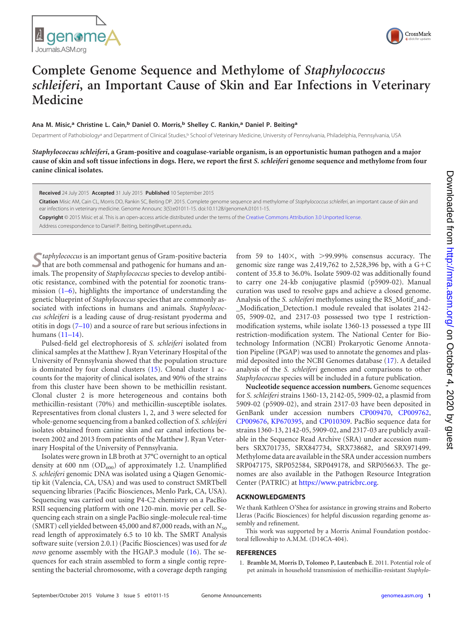



## **Complete Genome Sequence and Methylome of** *Staphylococcus schleiferi***, an Important Cause of Skin and Ear Infections in Veterinary Medicine**

## **Ana M. Misic,<sup>a</sup> Christine L. Cain,<sup>b</sup> Daniel O. Morris,<sup>b</sup> Shelley C. Rankin,<sup>a</sup> Daniel P. Beiting<sup>a</sup>**

Department of Pathobiology<sup>a</sup> and Department of Clinical Studies,<sup>b</sup> School of Veterinary Medicine, University of Pennsylvania, Philadelphia, Pennsylvania, USA

*Staphylococcus schleiferi***, a Gram-positive and coagulase-variable organism, is an opportunistic human pathogen and a major cause of skin and soft tissue infections in dogs. Here, we report the first** *S. schleiferi* **genome sequence and methylome from four canine clinical isolates.**

**Received** 24 July 2015 **Accepted** 31 July 2015 **Published** 10 September 2015

**Citation** Misic AM, Cain CL, Morris DO, Rankin SC, Beiting DP. 2015. Complete genome sequence and methylome of *Staphylococcus schleiferi*, an important cause of skin and ear infections in veterinary medicine. Genome Announc 3(5):e01011-15. doi:10.1128/genomeA.01011-15.

**Copyright** © 2015 Misic et al. This is an open-access article distributed under the terms of the Creative Commons Attribution 3.0 Unported license.

Address correspondence to Daniel P. Beiting, beiting@vet.upenn.edu.

**S**<br> **S***taphylococcus* is an important genus of Gram-positive bacteria<br>
that are both commensal and pathogenic for humans and animals. The propensity of *Staphylococcus* species to develop antibiotic resistance, combined with the potential for zoonotic transmission [\(1](#page-0-0)[–](#page-1-0)[6\)](#page-1-1), highlights the importance of understanding the genetic blueprint of *Staphylococcus* species that are commonly associated with infections in humans and animals. *Staphylococcus schleiferi* is a leading cause of drug-resistant pyoderma and otitis in dogs  $(7-10)$  $(7-10)$  $(7-10)$  and a source of rare but serious infections in humans [\(11](#page-1-5)[–](#page-1-6)[14\)](#page-1-7).

Pulsed-field gel electrophoresis of *S. schleiferi* isolated from clinical samples at the Matthew J. Ryan Veterinary Hospital of the University of Pennsylvania showed that the population structure is dominated by four clonal clusters [\(15\)](#page-1-8). Clonal cluster 1 accounts for the majority of clinical isolates, and 90% of the strains from this cluster have been shown to be methicillin resistant. Clonal cluster 2 is more heterogeneous and contains both methicillin-resistant (70%) and methicillin-susceptible isolates. Representatives from clonal clusters 1, 2, and 3 were selected for whole-genome sequencing from a banked collection of *S. schleiferi* isolates obtained from canine skin and ear canal infections between 2002 and 2013 from patients of the Matthew J. Ryan Veterinary Hospital of the University of Pennsylvania.

Isolates were grown in LB broth at 37°C overnight to an optical density at 600 nm  $OD_{600}$  of approximately 1.2. Unamplified *S. schleiferi* genomic DNA was isolated using a Qiagen Genomictip kit (Valencia, CA, USA) and was used to construct SMRTbell sequencing libraries (Pacific Biosciences, Menlo Park, CA, USA). Sequencing was carried out using P4-C2 chemistry on a PacBio RSII sequencing platform with one 120-min. movie per cell. Sequencing each strain on a single PacBio single-molecule real-time (SMRT) cell yielded between 45,000 and 87,000 reads, with an  $N_{50}$ read length of approximately 6.5 to 10 kb. The SMRT Analysis software suite (version 2.0.1) (Pacific Biosciences) was used for *de novo* genome assembly with the HGAP.3 module [\(16\)](#page-1-9). The sequences for each strain assembled to form a single contig representing the bacterial chromosome, with a coverage depth ranging

from 59 to  $140\times$ , with  $>$ 99.99% consensus accuracy. The genomic size range was 2,419,762 to 2,528,396 bp, with a  $G+C$ content of 35.8 to 36.0%. Isolate 5909-02 was additionally found to carry one 24-kb conjugative plasmid (p5909-02). Manual curation was used to resolve gaps and achieve a closed genome. Analysis of the *S. schleiferi* methylomes using the RS\_Motif\_and- \_Modification\_Detection.1 module revealed that isolates 2142- 05, 5909-02, and 2317-03 possessed two type I restrictionmodification systems, while isolate 1360-13 possessed a type III restriction-modification system. The National Center for Biotechnology Information (NCBI) Prokaryotic Genome Annotation Pipeline (PGAP) was used to annotate the genomes and plasmid deposited into the NCBI Genomes database [\(17\)](#page-1-10). A detailed analysis of the *S. schleiferi* genomes and comparisons to other *Staphylococcus* species will be included in a future publication.

**Nucleotide sequence accession numbers.** Genome sequences for *S. schleiferi* strains 1360-13, 2142-05, 5909-02, a plasmid from 5909-02 (p5909-02), and strain 2317-03 have been deposited in GenBank under accession numbers CP009470, CP009762, CP009676, KP670395, and CP010309. PacBio sequence data for strains 1360-13, 2142-05, 5909-02, and 2317-03 are publicly available in the Sequence Read Archive (SRA) under accession numbers SRX701735, SRX847734, SRX738682, and SRX971499. Methylome data are available in the SRA under accession numbers SRP047175, SRP052584, SRP049178, and SRP056633. The genomes are also available in the Pathogen Resource Integration Center (PATRIC) at https://www.patricbrc.org.

## **ACKNOWLEDGMENTS**

We thank Kathleen O'Shea for assistance in growing strains and Roberto Lleras (Pacific Biosciences) for helpful discussion regarding genome assembly and refinement.

This work was supported by a Morris Animal Foundation postdoctoral fellowship to A.M.M. (D14CA-404).

## <span id="page-0-0"></span>**REFERENCES**

1. **Bramble M, Morris D, Tolomeo P, Lautenbach E**. 2011. Potential role of pet animals in household transmission of methicillin-resistant *Staphylo-*